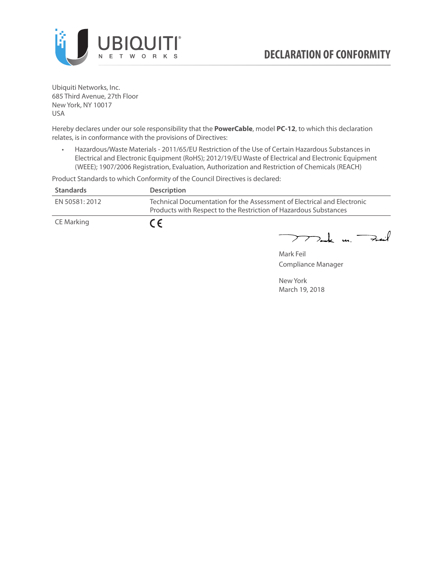

Ubiquiti Networks, Inc. 685 Third Avenue, 27th Floor New York, NY 10017 USA

Hereby declares under our sole responsibility that the **PowerCable**, model **PC-12**, to which this declaration relates, is in conformance with the provisions of Directives:

• Hazardous/Waste Materials - 2011/65/EU Restriction of the Use of Certain Hazardous Substances in Electrical and Electronic Equipment (RoHS); 2012/19/EU Waste of Electrical and Electronic Equipment (WEEE); 1907/2006 Registration, Evaluation, Authorization and Restriction of Chemicals (REACH)

Product Standards to which Conformity of the Council Directives is declared:

| <b>Standards</b> | <b>Description</b>                                                                                                                          |
|------------------|---------------------------------------------------------------------------------------------------------------------------------------------|
| EN 50581: 2012   | Technical Documentation for the Assessment of Electrical and Electronic<br>Products with Respect to the Restriction of Hazardous Substances |
| CE Marking       | $\epsilon$                                                                                                                                  |

 $772$ ak m. Fail

Mark Feil Compliance Manager

New York March 19, 2018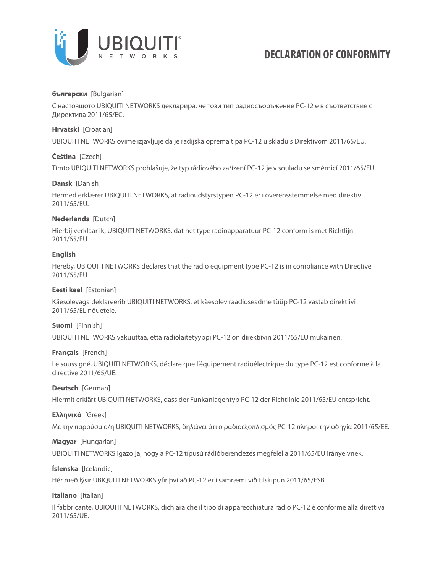

### **български** [Bulgarian]

С настоящото UBIQUITI NETWORKS декларира, че този тип радиосъоръжение PC-12 е в съответствие с Директива 2011/65/ЕС.

### **Hrvatski** [Croatian]

UBIQUITI NETWORKS ovime izjavljuje da je radijska oprema tipa PC-12 u skladu s Direktivom 2011/65/ЕU.

# **Čeština** [Czech]

Tímto UBIQUITI NETWORKS prohlašuje, že typ rádiového zařízení PC-12 je v souladu se směrnicí 2011/65/ЕU.

### **Dansk** [Danish]

Hermed erklærer UBIQUITI NETWORKS, at radioudstyrstypen PC-12 er i overensstemmelse med direktiv 2011/65/ЕU.

# **Nederlands** [Dutch]

Hierbij verklaar ik, UBIQUITI NETWORKS, dat het type radioapparatuur PC-12 conform is met Richtlijn 2011/65/ЕU.

# **English**

Hereby, UBIQUITI NETWORKS declares that the radio equipment type PC-12 is in compliance with Directive 2011/65/ЕU.

### **Eesti keel** [Estonian]

Käesolevaga deklareerib UBIQUITI NETWORKS, et käesolev raadioseadme tüüp PC-12 vastab direktiivi 2011/65/EL nõuetele.

### **Suomi** [Finnish]

UBIQUITI NETWORKS vakuuttaa, että radiolaitetyyppi PC-12 on direktiivin 2011/65/EU mukainen.

### **Français** [French]

Le soussigné, UBIQUITI NETWORKS, déclare que l'équipement radioélectrique du type PC-12 est conforme à la directive 2011/65/UE.

### **Deutsch** [German]

Hiermit erklärt UBIQUITI NETWORKS, dass der Funkanlagentyp PC-12 der Richtlinie 2011/65/EU entspricht.

### **Ελληνικά** [Greek]

Με την παρούσα ο/η UBIQUITI NETWORKS, δηλώνει ότι ο ραδιοεξοπλισμός PC-12 πληροί την οδηγία 2011/65/EE.

### **Magyar** [Hungarian]

UBIQUITI NETWORKS igazolja, hogy a PC-12 típusú rádióberendezés megfelel a 2011/65/EU irányelvnek.

### **Íslenska** [Icelandic]

Hér með lýsir UBIQUITI NETWORKS yfir því að PC-12 er í samræmi við tilskipun 2011/65/ESB.

### **Italiano** [Italian]

Il fabbricante, UBIQUITI NETWORKS, dichiara che il tipo di apparecchiatura radio PC-12 è conforme alla direttiva 2011/65/UE.